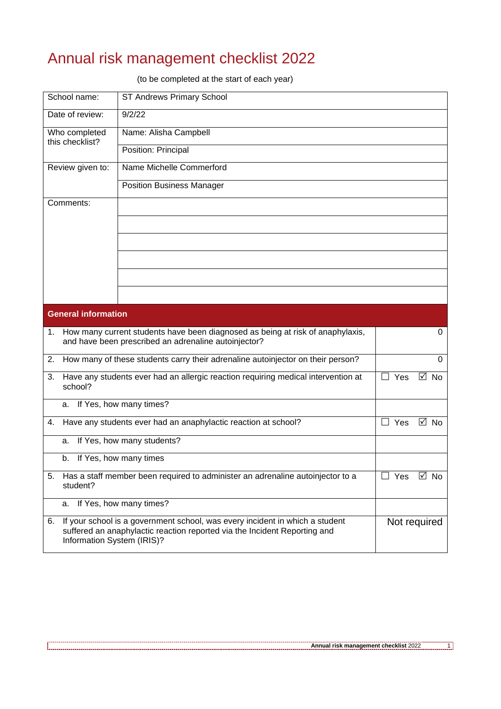## Annual risk management checklist 2022

(to be completed at the start of each year)

| School name:                     | <b>ST Andrews Primary School</b>                                                                                                                          |            |                |
|----------------------------------|-----------------------------------------------------------------------------------------------------------------------------------------------------------|------------|----------------|
| Date of review:                  | 9/2/22                                                                                                                                                    |            |                |
| Who completed<br>this checklist? | Name: Alisha Campbell                                                                                                                                     |            |                |
|                                  | Position: Principal                                                                                                                                       |            |                |
| Review given to:                 | Name Michelle Commerford                                                                                                                                  |            |                |
|                                  | <b>Position Business Manager</b>                                                                                                                          |            |                |
| Comments:                        |                                                                                                                                                           |            |                |
|                                  |                                                                                                                                                           |            |                |
|                                  |                                                                                                                                                           |            |                |
|                                  |                                                                                                                                                           |            |                |
|                                  |                                                                                                                                                           |            |                |
|                                  |                                                                                                                                                           |            |                |
| <b>General information</b>       |                                                                                                                                                           |            |                |
| 1.                               | How many current students have been diagnosed as being at risk of anaphylaxis,<br>and have been prescribed an adrenaline autoinjector?                    |            | $\Omega$       |
| 2.                               | How many of these students carry their adrenaline autoinjector on their person?                                                                           |            | $\Omega$       |
| 3.<br>school?                    | Have any students ever had an allergic reaction requiring medical intervention at                                                                         | $\Box$ Yes | ☑<br><b>No</b> |
| a.                               | If Yes, how many times?                                                                                                                                   |            |                |
| 4.                               | Have any students ever had an anaphylactic reaction at school?                                                                                            | $\Box$ Yes | $\boxtimes$ No |
| a.                               | If Yes, how many students?                                                                                                                                |            |                |
| b.                               | If Yes, how many times                                                                                                                                    |            |                |
| 5.<br>student?                   | Has a staff member been required to administer an adrenaline autoinjector to a                                                                            | $\Box$ Yes | $\boxtimes$ No |
| а.                               | If Yes, how many times?                                                                                                                                   |            |                |
| 6.<br>Information System (IRIS)? | If your school is a government school, was every incident in which a student<br>suffered an anaphylactic reaction reported via the Incident Reporting and |            | Not required   |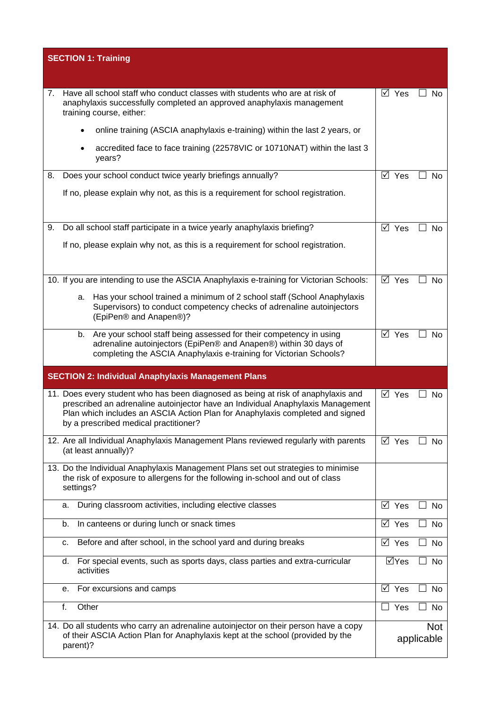| <b>SECTION 1: Training</b>                                                                                                                                                                                                                                                                     |                               |
|------------------------------------------------------------------------------------------------------------------------------------------------------------------------------------------------------------------------------------------------------------------------------------------------|-------------------------------|
|                                                                                                                                                                                                                                                                                                |                               |
| Have all school staff who conduct classes with students who are at risk of<br>7.<br>anaphylaxis successfully completed an approved anaphylaxis management<br>training course, either:                                                                                                          | $\boxtimes$ Yes<br>$\Box$ No  |
| online training (ASCIA anaphylaxis e-training) within the last 2 years, or                                                                                                                                                                                                                     |                               |
| accredited face to face training (22578VIC or 10710NAT) within the last 3<br>$\bullet$<br>years?                                                                                                                                                                                               |                               |
| Does your school conduct twice yearly briefings annually?<br>8.                                                                                                                                                                                                                                | $\boxtimes$ Yes<br>No         |
| If no, please explain why not, as this is a requirement for school registration.                                                                                                                                                                                                               |                               |
| Do all school staff participate in a twice yearly anaphylaxis briefing?<br>9.                                                                                                                                                                                                                  | $\boxtimes$ Yes<br>No         |
| If no, please explain why not, as this is a requirement for school registration.                                                                                                                                                                                                               |                               |
| 10. If you are intending to use the ASCIA Anaphylaxis e-training for Victorian Schools:                                                                                                                                                                                                        | $\boxtimes$ Yes<br>No         |
| Has your school trained a minimum of 2 school staff (School Anaphylaxis<br>a.<br>Supervisors) to conduct competency checks of adrenaline autoinjectors<br>(EpiPen® and Anapen®)?                                                                                                               |                               |
| Are your school staff being assessed for their competency in using<br>b.<br>adrenaline autoinjectors (EpiPen® and Anapen®) within 30 days of<br>completing the ASCIA Anaphylaxis e-training for Victorian Schools?                                                                             | ⊠ Yes<br>No                   |
| <b>SECTION 2: Individual Anaphylaxis Management Plans</b>                                                                                                                                                                                                                                      |                               |
| 11. Does every student who has been diagnosed as being at risk of anaphylaxis and<br>prescribed an adrenaline autoinjector have an Individual Anaphylaxis Management<br>Plan which includes an ASCIA Action Plan for Anaphylaxis completed and signed<br>by a prescribed medical practitioner? | ⊠ Yes<br>No                   |
| 12. Are all Individual Anaphylaxis Management Plans reviewed regularly with parents<br>(at least annually)?                                                                                                                                                                                    | $\boxtimes$ Yes<br>No         |
| 13. Do the Individual Anaphylaxis Management Plans set out strategies to minimise<br>the risk of exposure to allergens for the following in-school and out of class<br>settings?                                                                                                               |                               |
| During classroom activities, including elective classes<br>а.                                                                                                                                                                                                                                  | $\boxtimes$ Yes<br>No         |
| In canteens or during lunch or snack times<br>b.                                                                                                                                                                                                                                               | $\boxtimes$ Yes<br>No         |
| Before and after school, in the school yard and during breaks<br>c.                                                                                                                                                                                                                            | ⊠ Yes<br>$\blacksquare$<br>No |
| For special events, such as sports days, class parties and extra-curricular<br>d.<br>activities                                                                                                                                                                                                | ⊠Yes<br>No                    |
| For excursions and camps<br>е.                                                                                                                                                                                                                                                                 | M Yes<br>No                   |
| Other<br>f.                                                                                                                                                                                                                                                                                    | $\Box$ Yes<br>No              |
| 14. Do all students who carry an adrenaline autoinjector on their person have a copy<br>of their ASCIA Action Plan for Anaphylaxis kept at the school (provided by the<br>parent)?                                                                                                             | <b>Not</b><br>applicable      |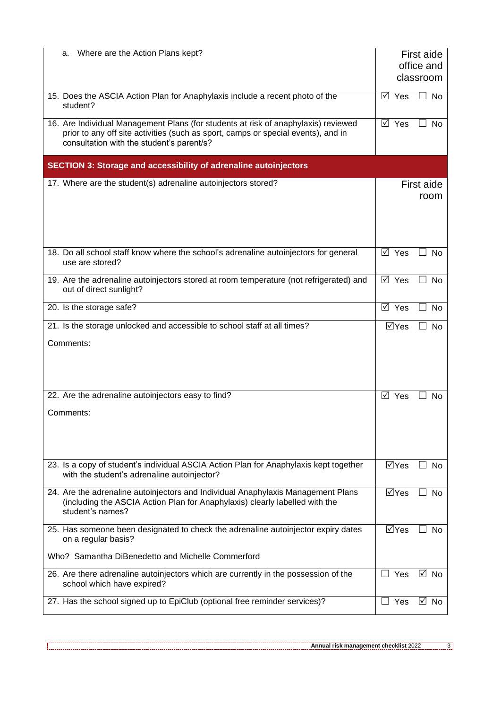| Where are the Action Plans kept?<br>a.                                                                                                                                                                               |                                 | First aide              |  |
|----------------------------------------------------------------------------------------------------------------------------------------------------------------------------------------------------------------------|---------------------------------|-------------------------|--|
|                                                                                                                                                                                                                      |                                 | office and<br>classroom |  |
| 15. Does the ASCIA Action Plan for Anaphylaxis include a recent photo of the<br>student?                                                                                                                             | ⊠ Yes                           | <b>No</b>               |  |
| 16. Are Individual Management Plans (for students at risk of anaphylaxis) reviewed<br>prior to any off site activities (such as sport, camps or special events), and in<br>consultation with the student's parent/s? | ⊠ Yes                           | No<br>$\mathsf{L}$      |  |
| <b>SECTION 3: Storage and accessibility of adrenaline autoinjectors</b>                                                                                                                                              |                                 |                         |  |
| 17. Where are the student(s) adrenaline autoinjectors stored?                                                                                                                                                        |                                 | First aide<br>room      |  |
|                                                                                                                                                                                                                      |                                 |                         |  |
| 18. Do all school staff know where the school's adrenaline autoinjectors for general<br>use are stored?                                                                                                              | $\overline{\boxtimes}$ Yes      | <b>No</b>               |  |
| 19. Are the adrenaline autoinjectors stored at room temperature (not refrigerated) and<br>out of direct sunlight?                                                                                                    | $\boxtimes$ Yes                 | No<br>$\mathsf{L}$      |  |
| 20. Is the storage safe?                                                                                                                                                                                             | ⊠ Yes                           | <b>No</b>               |  |
| 21. Is the storage unlocked and accessible to school staff at all times?                                                                                                                                             | $\Box$ Yes                      | <b>No</b>               |  |
| Comments:                                                                                                                                                                                                            |                                 |                         |  |
| 22. Are the adrenaline autoinjectors easy to find?                                                                                                                                                                   | ⊠ Yes                           | <b>No</b>               |  |
| Comments:                                                                                                                                                                                                            |                                 |                         |  |
| 23. Is a copy of student's individual ASCIA Action Plan for Anaphylaxis kept together<br>with the student's adrenaline autoinjector?                                                                                 | MYes                            | No.                     |  |
| 24. Are the adrenaline autoinjectors and Individual Anaphylaxis Management Plans<br>(including the ASCIA Action Plan for Anaphylaxis) clearly labelled with the<br>student's names?                                  | $\Box$ Yes                      | <b>No</b>               |  |
| 25. Has someone been designated to check the adrenaline autoinjector expiry dates<br>on a regular basis?                                                                                                             | $\overline{\boxtimes}$ Yes      | <b>No</b>               |  |
| Who? Samantha DiBenedetto and Michelle Commerford                                                                                                                                                                    |                                 |                         |  |
| 26. Are there adrenaline autoinjectors which are currently in the possession of the<br>school which have expired?                                                                                                    | $\Box$ Yes                      | ☑<br><b>No</b>          |  |
| 27. Has the school signed up to EpiClub (optional free reminder services)?                                                                                                                                           | Yes<br>$\overline{\phantom{a}}$ | M<br>No                 |  |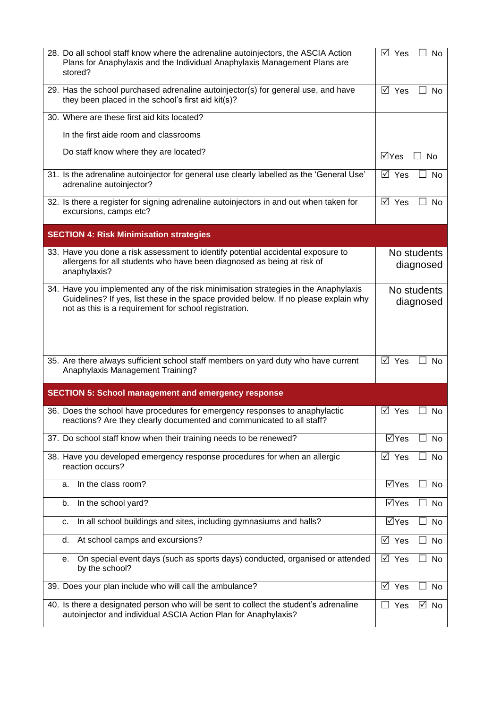| 28. Do all school staff know where the adrenaline autoinjectors, the ASCIA Action<br>Plans for Anaphylaxis and the Individual Anaphylaxis Management Plans are<br>stored?                                                            | $\boxtimes$ Yes            | $\blacksquare$<br><b>No</b> |
|--------------------------------------------------------------------------------------------------------------------------------------------------------------------------------------------------------------------------------------|----------------------------|-----------------------------|
| 29. Has the school purchased adrenaline autoinjector(s) for general use, and have<br>they been placed in the school's first aid kit(s)?                                                                                              | $\boxtimes$ Yes            | No                          |
| 30. Where are these first aid kits located?                                                                                                                                                                                          |                            |                             |
| In the first aide room and classrooms                                                                                                                                                                                                |                            |                             |
| Do staff know where they are located?                                                                                                                                                                                                | $\Box$ Yes                 | <b>No</b>                   |
| 31. Is the adrenaline autoinjector for general use clearly labelled as the 'General Use'<br>adrenaline autoinjector?                                                                                                                 | ⊠ Yes                      | $\blacksquare$<br><b>No</b> |
| 32. Is there a register for signing adrenaline autoinjectors in and out when taken for<br>excursions, camps etc?                                                                                                                     | $\boxtimes$ Yes            | No                          |
| <b>SECTION 4: Risk Minimisation strategies</b>                                                                                                                                                                                       |                            |                             |
| 33. Have you done a risk assessment to identify potential accidental exposure to<br>allergens for all students who have been diagnosed as being at risk of<br>anaphylaxis?                                                           |                            | No students<br>diagnosed    |
| 34. Have you implemented any of the risk minimisation strategies in the Anaphylaxis<br>Guidelines? If yes, list these in the space provided below. If no please explain why<br>not as this is a requirement for school registration. |                            | No students<br>diagnosed    |
| 35. Are there always sufficient school staff members on yard duty who have current<br>Anaphylaxis Management Training?                                                                                                               | $\boxtimes$ Yes            | No                          |
| <b>SECTION 5: School management and emergency response</b>                                                                                                                                                                           |                            |                             |
| 36. Does the school have procedures for emergency responses to anaphylactic<br>reactions? Are they clearly documented and communicated to all staff?                                                                                 | ⊠ Yes                      | No                          |
| 37. Do school staff know when their training needs to be renewed?                                                                                                                                                                    | ⊠Yes                       | No                          |
| 38. Have you developed emergency response procedures for when an allergic<br>reaction occurs?                                                                                                                                        | ⊠ Yes                      | No                          |
| In the class room?<br>a.                                                                                                                                                                                                             | ⊠Yes                       | No                          |
| In the school yard?<br>b.                                                                                                                                                                                                            | $\overline{\boxtimes}$ Yes | No                          |
| In all school buildings and sites, including gymnasiums and halls?<br>c.                                                                                                                                                             | ⊠Yes                       | No                          |
| At school camps and excursions?<br>d.                                                                                                                                                                                                | ⊠ Yes                      | No                          |
| On special event days (such as sports days) conducted, organised or attended<br>е.<br>by the school?                                                                                                                                 | $\overline{M}$ Yes         | No                          |
| 39. Does your plan include who will call the ambulance?                                                                                                                                                                              | ⊠ Yes                      | No                          |
| 40. Is there a designated person who will be sent to collect the student's adrenaline<br>autoinjector and individual ASCIA Action Plan for Anaphylaxis?                                                                              | Yes<br>$\Box$              | ⊡ No                        |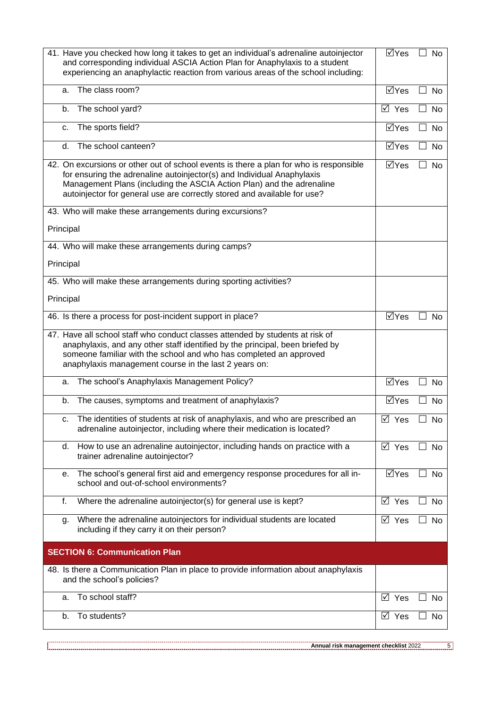| 41. Have you checked how long it takes to get an individual's adrenaline autoinjector<br>and corresponding individual ASCIA Action Plan for Anaphylaxis to a student<br>experiencing an anaphylactic reaction from various areas of the school including:                                                             |                             | $\Box$<br><b>No</b>                   |
|-----------------------------------------------------------------------------------------------------------------------------------------------------------------------------------------------------------------------------------------------------------------------------------------------------------------------|-----------------------------|---------------------------------------|
| The class room?<br>a.                                                                                                                                                                                                                                                                                                 | $\overline{\mathsf{Y}}$ Yes | $\overline{\phantom{a}}$<br>No        |
| The school yard?<br>b.                                                                                                                                                                                                                                                                                                |                             | <b>No</b><br>$\blacksquare$           |
| The sports field?<br>c.                                                                                                                                                                                                                                                                                               | ⊠Yes                        | <b>No</b>                             |
| The school canteen?<br>d.                                                                                                                                                                                                                                                                                             | $\Box$ Yes                  | No                                    |
| 42. On excursions or other out of school events is there a plan for who is responsible<br>for ensuring the adrenaline autoinjector(s) and Individual Anaphylaxis<br>Management Plans (including the ASCIA Action Plan) and the adrenaline<br>autoinjector for general use are correctly stored and available for use? |                             | <b>No</b><br>$\overline{\phantom{a}}$ |
| 43. Who will make these arrangements during excursions?                                                                                                                                                                                                                                                               |                             |                                       |
| Principal                                                                                                                                                                                                                                                                                                             |                             |                                       |
| 44. Who will make these arrangements during camps?                                                                                                                                                                                                                                                                    |                             |                                       |
| Principal                                                                                                                                                                                                                                                                                                             |                             |                                       |
| 45. Who will make these arrangements during sporting activities?                                                                                                                                                                                                                                                      |                             |                                       |
| Principal                                                                                                                                                                                                                                                                                                             |                             |                                       |
| 46. Is there a process for post-incident support in place?                                                                                                                                                                                                                                                            | $\overline{\boxtimes}$ Yes  | <b>No</b>                             |
| 47. Have all school staff who conduct classes attended by students at risk of<br>anaphylaxis, and any other staff identified by the principal, been briefed by<br>someone familiar with the school and who has completed an approved<br>anaphylaxis management course in the last 2 years on:                         |                             |                                       |
| The school's Anaphylaxis Management Policy?<br>a.                                                                                                                                                                                                                                                                     | $\overline{\text{M}}$ Yes   | П<br><b>No</b>                        |
| The causes, symptoms and treatment of anaphylaxis?<br>b.                                                                                                                                                                                                                                                              | ⊠Yes                        | No                                    |
| The identities of students at risk of anaphylaxis, and who are prescribed an<br>с.<br>adrenaline autoinjector, including where their medication is located?                                                                                                                                                           | ⊠ Yes                       | No                                    |
| How to use an adrenaline autoinjector, including hands on practice with a<br>d.<br>trainer adrenaline autoinjector?                                                                                                                                                                                                   | $\boxtimes$ Yes             | No                                    |
| The school's general first aid and emergency response procedures for all in-<br>е.<br>school and out-of-school environments?                                                                                                                                                                                          | $\Box$ Yes                  | No<br>$\mathsf{L}$                    |
| f.<br>Where the adrenaline autoinjector(s) for general use is kept?                                                                                                                                                                                                                                                   | ⊠ Yes                       | No                                    |
| Where the adrenaline autoinjectors for individual students are located<br>g.<br>including if they carry it on their person?                                                                                                                                                                                           | ⊠ Yes                       | No                                    |
| <b>SECTION 6: Communication Plan</b>                                                                                                                                                                                                                                                                                  |                             |                                       |
| 48. Is there a Communication Plan in place to provide information about anaphylaxis<br>and the school's policies?                                                                                                                                                                                                     |                             |                                       |
| To school staff?<br>а.                                                                                                                                                                                                                                                                                                | $\boxtimes$ Yes             | No                                    |
| To students?<br>b.                                                                                                                                                                                                                                                                                                    | ⊠ Yes                       | No                                    |